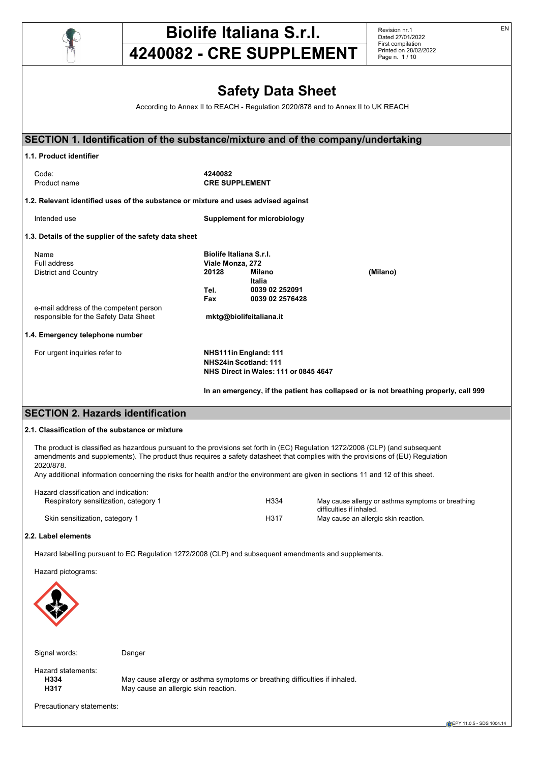

# **Biolife Italiana S.r.l.**

Revision nr.1 Dated 27/01/2022 First compilation Printed on 28/02/2022 Page n. 1 / 10

# **4240082 - CRE SUPPLEMENT**

# **Safety Data Sheet**

According to Annex II to REACH - Regulation 2020/878 and to Annex II to UK REACH

| SECTION 1. Identification of the substance/mixture and of the company/undertaking                                              |                         |                                       |                                                                                      |
|--------------------------------------------------------------------------------------------------------------------------------|-------------------------|---------------------------------------|--------------------------------------------------------------------------------------|
| 1.1. Product identifier                                                                                                        |                         |                                       |                                                                                      |
|                                                                                                                                |                         |                                       |                                                                                      |
| Code:                                                                                                                          | 4240082                 |                                       |                                                                                      |
| Product name                                                                                                                   | <b>CRE SUPPLEMENT</b>   |                                       |                                                                                      |
| 1.2. Relevant identified uses of the substance or mixture and uses advised against                                             |                         |                                       |                                                                                      |
| Intended use                                                                                                                   |                         | <b>Supplement for microbiology</b>    |                                                                                      |
| 1.3. Details of the supplier of the safety data sheet                                                                          |                         |                                       |                                                                                      |
| Name                                                                                                                           | Biolife Italiana S.r.I. |                                       |                                                                                      |
| Full address                                                                                                                   | Viale Monza, 272        |                                       |                                                                                      |
| <b>District and Country</b>                                                                                                    | 20128                   | Milano                                | (Milano)                                                                             |
|                                                                                                                                |                         | Italia                                |                                                                                      |
|                                                                                                                                | Tel.                    | 0039 02 252091                        |                                                                                      |
|                                                                                                                                | Fax                     | 0039 02 2576428                       |                                                                                      |
| e-mail address of the competent person                                                                                         |                         |                                       |                                                                                      |
| responsible for the Safety Data Sheet                                                                                          |                         | mktg@biolifeitaliana.it               |                                                                                      |
| 1.4. Emergency telephone number                                                                                                |                         |                                       |                                                                                      |
| For urgent inquiries refer to                                                                                                  |                         | NHS111in England: 111                 |                                                                                      |
|                                                                                                                                |                         | NHS24in Scotland: 111                 |                                                                                      |
|                                                                                                                                |                         | NHS Direct in Wales: 111 or 0845 4647 |                                                                                      |
|                                                                                                                                |                         |                                       | In an emergency, if the patient has collapsed or is not breathing properly, call 999 |
| <b>SECTION 2. Hazards identification</b>                                                                                       |                         |                                       |                                                                                      |
|                                                                                                                                |                         |                                       |                                                                                      |
| 2.1. Classification of the substance or mixture                                                                                |                         |                                       |                                                                                      |
| The product is classified as hazardous pursuant to the provisions set forth in (EC) Requlation 1272/2008 (CLP) (and subsequent |                         |                                       |                                                                                      |
| amendments and supplements). The product thus requires a safety datasheet that complies with the provisions of (EU) Requlation |                         |                                       |                                                                                      |
| 2020/878.                                                                                                                      |                         |                                       |                                                                                      |

Any additional information concerning the risks for health and/or the environment are given in sections 11 and 12 of this sheet.

| Hazard classification and indication: |      |                                                                               |
|---------------------------------------|------|-------------------------------------------------------------------------------|
| Respiratory sensitization, category 1 | H334 | May cause allergy or asthma symptoms or breathing<br>difficulties if inhaled. |
| Skin sensitization, category 1        | H317 | May cause an allergic skin reaction.                                          |

## **2.2. Label elements**

Hazard labelling pursuant to EC Regulation 1272/2008 (CLP) and subsequent amendments and supplements.

Hazard pictograms:



Signal words: Danger

Hazard statements:<br> **H334** 

**H334** May cause allergy or asthma symptoms or breathing difficulties if inhaled.<br>**H317** May cause an allergic skin reaction. May cause an allergic skin reaction.

Precautionary statements:

EN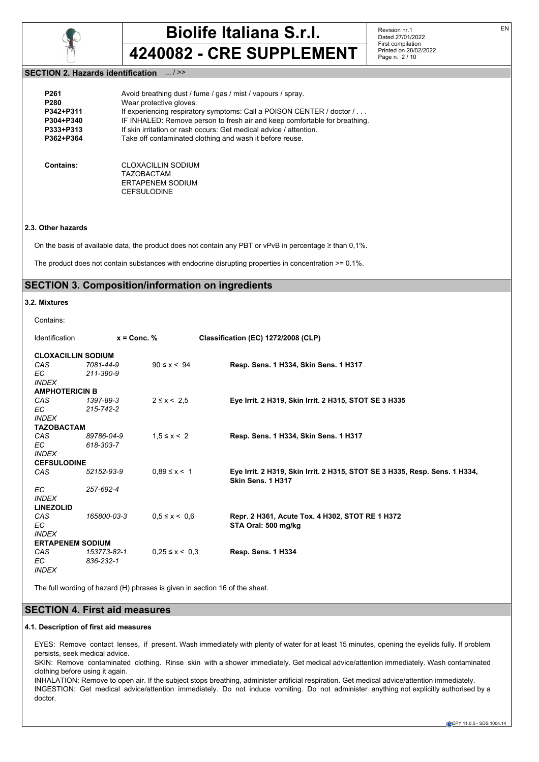

Revision nr.1 Dated 27/01/2022 First compilation Printed on 28/02/2022 Page n. 2 / 10

## **SECTION 2. Hazards identification** ... / >>

| P <sub>261</sub> | Avoid breathing dust / fume / gas / mist / vapours / spray.                              |
|------------------|------------------------------------------------------------------------------------------|
| P <sub>280</sub> | Wear protective gloves.                                                                  |
| P342+P311        | If experiencing respiratory symptoms: Call a POISON CENTER / doctor /                    |
| P304+P340        | IF INHALED: Remove person to fresh air and keep comfortable for breathing.               |
| P333+P313        | If skin irritation or rash occurs: Get medical advice / attention.                       |
| P362+P364        | Take off contaminated clothing and wash it before reuse.                                 |
| Contains:        | CLOXACILLIN SODIUM<br><b>TAZOBACTAM</b><br><b>ERTAPENEM SODIUM</b><br><b>CEFSULODINE</b> |

## **2.3. Other hazards**

On the basis of available data, the product does not contain any PBT or vPvB in percentage ≥ than 0,1%.

The product does not contain substances with endocrine disrupting properties in concentration >= 0.1%.

# **SECTION 3. Composition/information on ingredients**

## **3.2. Mixtures**

Contains:

| <b>Identification</b>     | $x =$ Conc. % |                      | Classification (EC) 1272/2008 (CLP)                                                             |
|---------------------------|---------------|----------------------|-------------------------------------------------------------------------------------------------|
| <b>CLOXACILLIN SODIUM</b> |               |                      |                                                                                                 |
| CAS                       | 7081-44-9     | $90 \le x \le 94$    | Resp. Sens. 1 H334, Skin Sens. 1 H317                                                           |
| EC.                       | 211-390-9     |                      |                                                                                                 |
| <b>INDEX</b>              |               |                      |                                                                                                 |
| <b>AMPHOTERICIN B</b>     |               |                      |                                                                                                 |
| CAS <sup>.</sup>          | 1397-89-3     | $2 \le x < 2.5$      | Eye Irrit. 2 H319, Skin Irrit. 2 H315, STOT SE 3 H335                                           |
| EC.                       | 215-742-2     |                      |                                                                                                 |
| <b>INDEX</b>              |               |                      |                                                                                                 |
| <b>TAZOBACTAM</b>         |               |                      |                                                                                                 |
| CAS                       | 89786-04-9    | $1.5 \le x \le 2$    | Resp. Sens. 1 H334, Skin Sens. 1 H317                                                           |
| EC.                       | 618-303-7     |                      |                                                                                                 |
| <b>INDEX</b>              |               |                      |                                                                                                 |
| <b>CEFSULODINE</b>        |               |                      |                                                                                                 |
| CAS.                      | 52152-93-9    | $0.89 \le x \le 1$   | Eye Irrit. 2 H319, Skin Irrit. 2 H315, STOT SE 3 H335, Resp. Sens. 1 H334,<br>Skin Sens. 1 H317 |
| EC.                       | 257-692-4     |                      |                                                                                                 |
| <b>INDEX</b>              |               |                      |                                                                                                 |
| <b>LINEZOLID</b>          |               |                      |                                                                                                 |
| CAS                       | 165800-03-3   | $0.5 \le x \le 0.6$  | Repr. 2 H361, Acute Tox. 4 H302, STOT RE 1 H372                                                 |
| EC                        |               |                      | STA Oral: 500 mg/kg                                                                             |
| <b>INDEX</b>              |               |                      |                                                                                                 |
| <b>ERTAPENEM SODIUM</b>   |               |                      |                                                                                                 |
| CAS                       | 153773-82-1   | $0.25 \le x \le 0.3$ | Resp. Sens. 1 H334                                                                              |
| EC.                       | 836-232-1     |                      |                                                                                                 |
| <b>INDEX</b>              |               |                      |                                                                                                 |

The full wording of hazard (H) phrases is given in section 16 of the sheet.

# **SECTION 4. First aid measures**

## **4.1. Description of first aid measures**

EYES: Remove contact lenses, if present. Wash immediately with plenty of water for at least 15 minutes, opening the eyelids fully. If problem persists, seek medical advice.

SKIN: Remove contaminated clothing. Rinse skin with a shower immediately. Get medical advice/attention immediately. Wash contaminated clothing before using it again.

INHALATION: Remove to open air. If the subject stops breathing, administer artificial respiration. Get medical advice/attention immediately. INGESTION: Get medical advice/attention immediately. Do not induce vomiting. Do not administer anything not explicitly authorised by a doctor.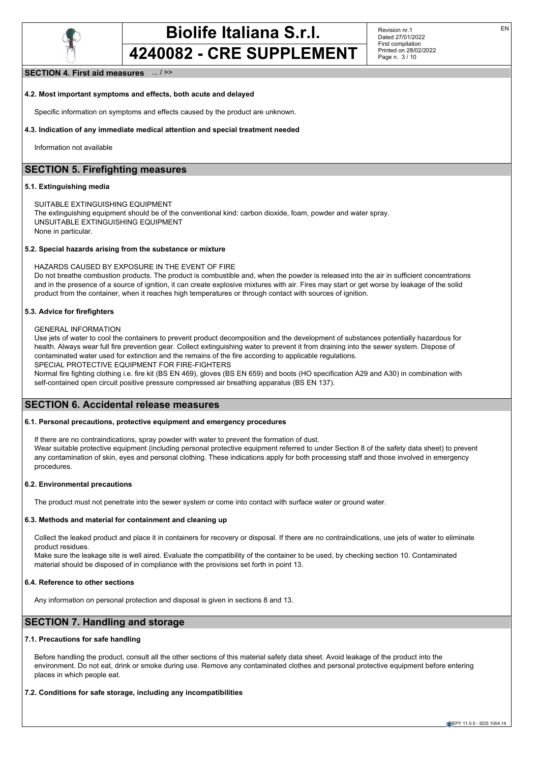

Revision nr.1 Dated 27/01/2022 First compilation Printed on 28/02/2022 Page n. 3 / 10

## **SECTION 4. First aid measures** ... / >>

### **4.2. Most important symptoms and effects, both acute and delayed**

Specific information on symptoms and effects caused by the product are unknown.

### **4.3. Indication of any immediate medical attention and special treatment needed**

Information not available

# **SECTION 5. Firefighting measures**

## **5.1. Extinguishing media**

SUITABLE EXTINGUISHING EQUIPMENT

The extinguishing equipment should be of the conventional kind: carbon dioxide, foam, powder and water spray. UNSUITABLE EXTINGUISHING EQUIPMENT

None in particular.

## **5.2. Special hazards arising from the substance or mixture**

### HAZARDS CAUSED BY EXPOSURE IN THE EVENT OF FIRE

Do not breathe combustion products. The product is combustible and, when the powder is released into the air in sufficient concentrations and in the presence of a source of ignition, it can create explosive mixtures with air. Fires may start or get worse by leakage of the solid product from the container, when it reaches high temperatures or through contact with sources of ignition.

### **5.3. Advice for firefighters**

#### GENERAL INFORMATION

Use jets of water to cool the containers to prevent product decomposition and the development of substances potentially hazardous for health. Always wear full fire prevention gear. Collect extinguishing water to prevent it from draining into the sewer system. Dispose of contaminated water used for extinction and the remains of the fire according to applicable regulations.

SPECIAL PROTECTIVE EQUIPMENT FOR FIRE-FIGHTERS

Normal fire fighting clothing i.e. fire kit (BS EN 469), gloves (BS EN 659) and boots (HO specification A29 and A30) in combination with self-contained open circuit positive pressure compressed air breathing apparatus (BS EN 137).

## **SECTION 6. Accidental release measures**

### **6.1. Personal precautions, protective equipment and emergency procedures**

If there are no contraindications, spray powder with water to prevent the formation of dust. Wear suitable protective equipment (including personal protective equipment referred to under Section 8 of the safety data sheet) to prevent any contamination of skin, eyes and personal clothing. These indications apply for both processing staff and those involved in emergency procedures.

## **6.2. Environmental precautions**

The product must not penetrate into the sewer system or come into contact with surface water or ground water.

#### **6.3. Methods and material for containment and cleaning up**

Collect the leaked product and place it in containers for recovery or disposal. If there are no contraindications, use jets of water to eliminate product residues.

Make sure the leakage site is well aired. Evaluate the compatibility of the container to be used, by checking section 10. Contaminated material should be disposed of in compliance with the provisions set forth in point 13.

#### **6.4. Reference to other sections**

Any information on personal protection and disposal is given in sections 8 and 13.

## **SECTION 7. Handling and storage**

## **7.1. Precautions for safe handling**

Before handling the product, consult all the other sections of this material safety data sheet. Avoid leakage of the product into the environment. Do not eat, drink or smoke during use. Remove any contaminated clothes and personal protective equipment before entering places in which people eat.

#### **7.2. Conditions for safe storage, including any incompatibilities**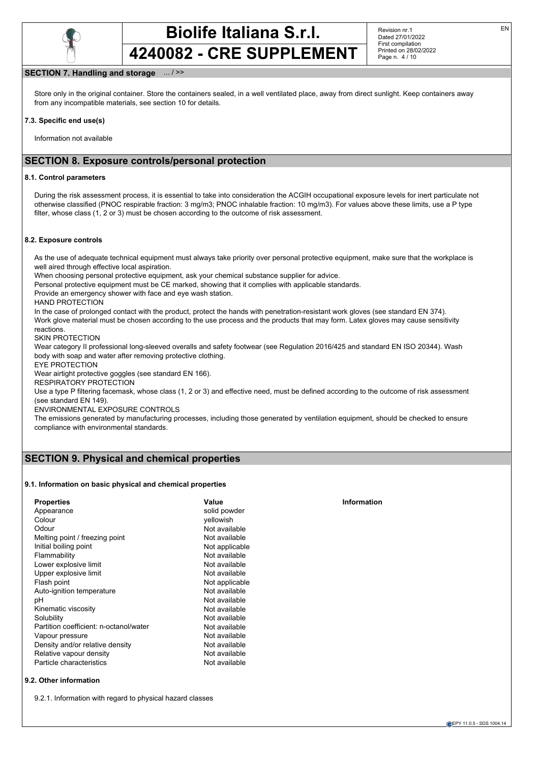

Revision nr.1 Dated 27/01/2022 First compilation Printed on 28/02/2022 Page n. 4 / 10

## **SECTION 7. Handling and storage** ... / >>

Store only in the original container. Store the containers sealed, in a well ventilated place, away from direct sunlight. Keep containers away from any incompatible materials, see section 10 for details.

### **7.3. Specific end use(s)**

Information not available

## **SECTION 8. Exposure controls/personal protection**

### **8.1. Control parameters**

During the risk assessment process, it is essential to take into consideration the ACGIH occupational exposure levels for inert particulate not otherwise classified (PNOC respirable fraction: 3 mg/m3; PNOC inhalable fraction: 10 mg/m3). For values above these limits, use a P type filter, whose class (1, 2 or 3) must be chosen according to the outcome of risk assessment.

### **8.2. Exposure controls**

As the use of adequate technical equipment must always take priority over personal protective equipment, make sure that the workplace is well aired through effective local aspiration.

When choosing personal protective equipment, ask your chemical substance supplier for advice.

Personal protective equipment must be CE marked, showing that it complies with applicable standards.

Provide an emergency shower with face and eye wash station.

HAND PROTECTION

In the case of prolonged contact with the product, protect the hands with penetration-resistant work gloves (see standard EN 374). Work glove material must be chosen according to the use process and the products that may form. Latex gloves may cause sensitivity reactions.

### SKIN PROTECTION

Wear category II professional long-sleeved overalls and safety footwear (see Regulation 2016/425 and standard EN ISO 20344). Wash body with soap and water after removing protective clothing.

EYE PROTECTION

Wear airtight protective goggles (see standard EN 166).

RESPIRATORY PROTECTION

Use a type P filtering facemask, whose class (1, 2 or 3) and effective need, must be defined according to the outcome of risk assessment (see standard EN 149).

ENVIRONMENTAL EXPOSURE CONTROLS

The emissions generated by manufacturing processes, including those generated by ventilation equipment, should be checked to ensure compliance with environmental standards.

# **SECTION 9. Physical and chemical properties**

## **9.1. Information on basic physical and chemical properties**

| <b>Properties</b>                      | Value          | Information |  |
|----------------------------------------|----------------|-------------|--|
| Appearance                             | solid powder   |             |  |
| Colour                                 | vellowish      |             |  |
| Odour                                  | Not available  |             |  |
| Melting point / freezing point         | Not available  |             |  |
| Initial boiling point                  | Not applicable |             |  |
| Flammability                           | Not available  |             |  |
| Lower explosive limit                  | Not available  |             |  |
| Upper explosive limit                  | Not available  |             |  |
| Flash point                            | Not applicable |             |  |
| Auto-ignition temperature              | Not available  |             |  |
| pH                                     | Not available  |             |  |
| Kinematic viscosity                    | Not available  |             |  |
| Solubility                             | Not available  |             |  |
| Partition coefficient: n-octanol/water | Not available  |             |  |
| Vapour pressure                        | Not available  |             |  |
| Density and/or relative density        | Not available  |             |  |
| Relative vapour density                | Not available  |             |  |
| Particle characteristics               | Not available  |             |  |

9.2.1. Information with regard to physical hazard classes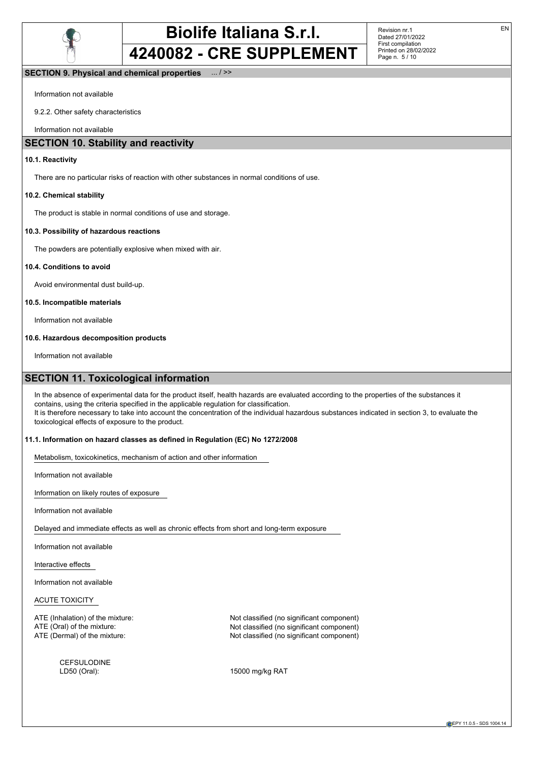

Revision nr.1 Dated 27/01/2022 First compilation Printed on 28/02/2022 Page n. 5 / 10

## **SECTION 9. Physical and chemical properties** ... / >>

Information not available

9.2.2. Other safety characteristics

Information not available

## **SECTION 10. Stability and reactivity**

### **10.1. Reactivity**

There are no particular risks of reaction with other substances in normal conditions of use.

## **10.2. Chemical stability**

The product is stable in normal conditions of use and storage.

### **10.3. Possibility of hazardous reactions**

The powders are potentially explosive when mixed with air.

## **10.4. Conditions to avoid**

Avoid environmental dust build-up.

## **10.5. Incompatible materials**

Information not available

### **10.6. Hazardous decomposition products**

Information not available

## **SECTION 11. Toxicological information**

In the absence of experimental data for the product itself, health hazards are evaluated according to the properties of the substances it contains, using the criteria specified in the applicable regulation for classification. It is therefore necessary to take into account the concentration of the individual hazardous substances indicated in section 3, to evaluate the toxicological effects of exposure to the product.

## **11.1. Information on hazard classes as defined in Regulation (EC) No 1272/2008**

Metabolism, toxicokinetics, mechanism of action and other information

Information not available

Information on likely routes of exposure

Information not available

Delayed and immediate effects as well as chronic effects from short and long-term exposure

Information not available

Interactive effects

Information not available

## ACUTE TOXICITY

CEFSULODINE<br>LD50 (Oral):

ATE (Inhalation) of the mixture:  $\blacksquare$  Not classified (no significant component) ATE (Oral) of the mixture:  $\blacksquare$  Not classified (no significant component) ATE (Dermal) of the mixture: Not classified (no significant component)

15000 mg/kg RAT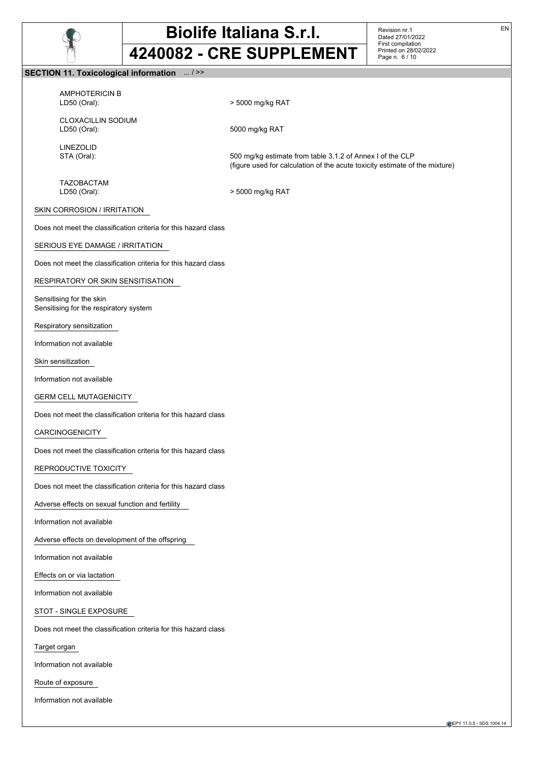

Revision nr.1 Dated 27/01/2022 First compilation Printed on 28/02/2022 Page n. 6 / 10

## **SECTION 11. Toxicological information** ... / >>

AMPHOTERICIN B LD50 (Oral): > 5000 mg/kg RAT

CLOXACILLIN SODIUM<br>LD50 (Oral):

LINEZOLID

STA (Oral): 500 mg/kg estimate from table 3.1.2 of Annex I of the CLP (figure used for calculation of the acute toxicity estimate of the mixture)

TAZOBACTAM

LD50 (Oral): > 5000 mg/kg RAT

5000 mg/kg RAT

## SKIN CORROSION / IRRITATION

Does not meet the classification criteria for this hazard class

### SERIOUS EYE DAMAGE / IRRITATION

Does not meet the classification criteria for this hazard class

## RESPIRATORY OR SKIN SENSITISATION

Sensitising for the skin Sensitising for the respiratory system

Respiratory sensitization

Information not available

Skin sensitization

Information not available

## GERM CELL MUTAGENICITY

Does not meet the classification criteria for this hazard class

#### CARCINOGENICITY

Does not meet the classification criteria for this hazard class

## REPRODUCTIVE TOXICITY

Does not meet the classification criteria for this hazard class

Adverse effects on sexual function and fertility

Information not available

Adverse effects on development of the offspring

Information not available

Effects on or via lactation

Information not available

STOT - SINGLE EXPOSURE

Does not meet the classification criteria for this hazard class

Target organ

Information not available

Route of exposure

Information not available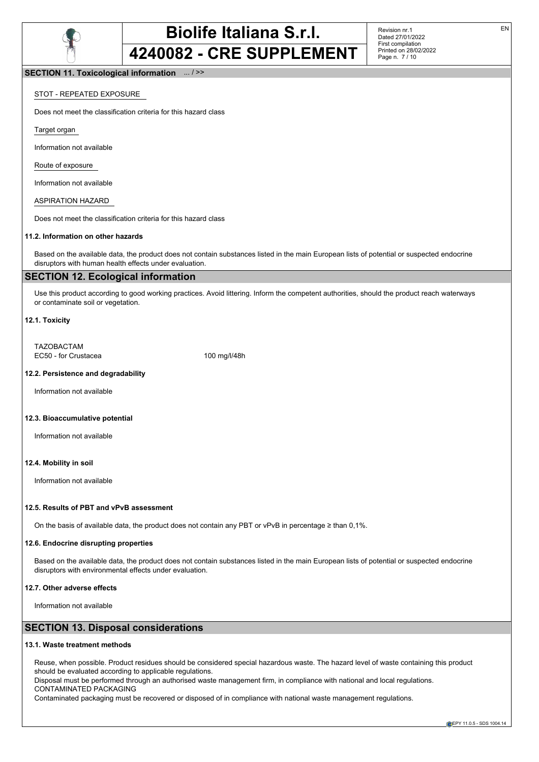

Revision nr.1 Dated 27/01/2022 First compilation Printed on 28/02/2022 Page n. 7 / 10

## **SECTION 11. Toxicological information** ... / >>

## STOT - REPEATED EXPOSURE

Does not meet the classification criteria for this hazard class

Target organ

Information not available

Route of exposure

Information not available

ASPIRATION HAZARD

Does not meet the classification criteria for this hazard class

## **11.2. Information on other hazards**

Based on the available data, the product does not contain substances listed in the main European lists of potential or suspected endocrine disruptors with human health effects under evaluation.

## **SECTION 12. Ecological information**

Use this product according to good working practices. Avoid littering. Inform the competent authorities, should the product reach waterways or contaminate soil or vegetation.

## **12.1. Toxicity**

TAZOBACTAM EC50 - for Crustacea 100 mg/l/48h

## **12.2. Persistence and degradability**

Information not available

### **12.3. Bioaccumulative potential**

Information not available

### **12.4. Mobility in soil**

Information not available

#### **12.5. Results of PBT and vPvB assessment**

On the basis of available data, the product does not contain any PBT or vPvB in percentage ≥ than 0,1%.

### **12.6. Endocrine disrupting properties**

Based on the available data, the product does not contain substances listed in the main European lists of potential or suspected endocrine disruptors with environmental effects under evaluation.

## **12.7. Other adverse effects**

Information not available

# **SECTION 13. Disposal considerations**

#### **13.1. Waste treatment methods**

Reuse, when possible. Product residues should be considered special hazardous waste. The hazard level of waste containing this product should be evaluated according to applicable regulations.

Disposal must be performed through an authorised waste management firm, in compliance with national and local regulations. CONTAMINATED PACKAGING

Contaminated packaging must be recovered or disposed of in compliance with national waste management regulations.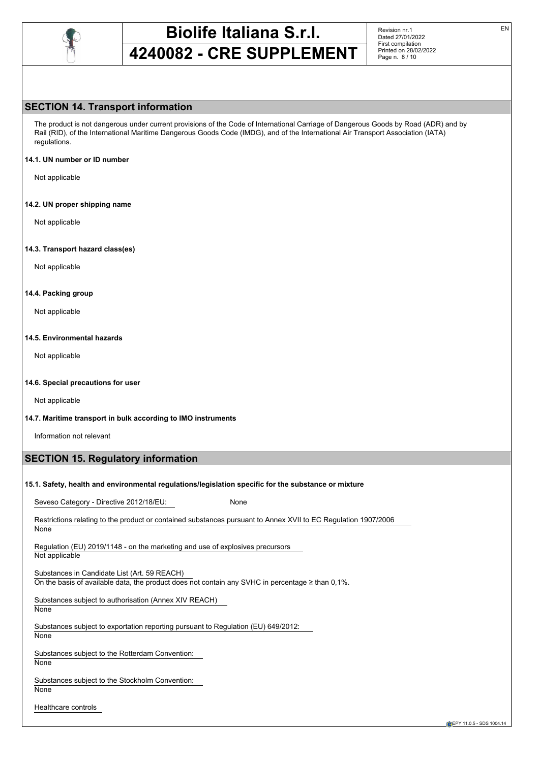

Revision nr.1 Dated 27/01/2022 First compilation Printed on 28/02/2022 Page n. 8 / 10

# **SECTION 14. Transport information**

The product is not dangerous under current provisions of the Code of International Carriage of Dangerous Goods by Road (ADR) and by Rail (RID), of the International Maritime Dangerous Goods Code (IMDG), and of the International Air Transport Association (IATA) regulations.

### **14.1. UN number or ID number**

Not applicable

## **14.2. UN proper shipping name**

Not applicable

## **14.3. Transport hazard class(es)**

Not applicable

## **14.4. Packing group**

Not applicable

### **14.5. Environmental hazards**

Not applicable

## **14.6. Special precautions for user**

Not applicable

## **14.7. Maritime transport in bulk according to IMO instruments**

Information not relevant

# **SECTION 15. Regulatory information**

## **15.1. Safety, health and environmental regulations/legislation specific for the substance or mixture**

Seveso Category - Directive 2012/18/EU: None

Restrictions relating to the product or contained substances pursuant to Annex XVII to EC Regulation 1907/2006 **None** 

Regulation (EU) 2019/1148 - on the marketing and use of explosives precursors Not applicable

Substances in Candidate List (Art. 59 REACH) On the basis of available data, the product does not contain any SVHC in percentage ≥ than 0,1%.

Substances subject to authorisation (Annex XIV REACH) None

Substances subject to exportation reporting pursuant to Regulation (EU) 649/2012: **None** 

Substances subject to the Rotterdam Convention:

**None** 

Substances subject to the Stockholm Convention: **None** 

Healthcare controls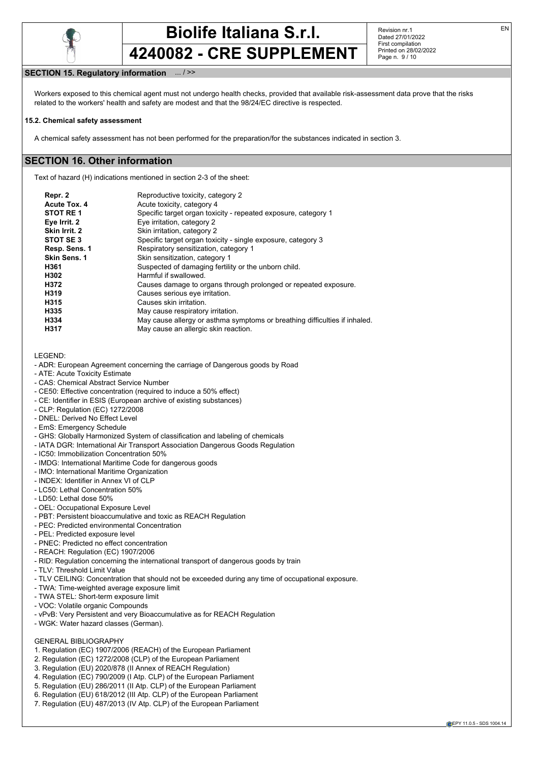

Revision nr.1 Dated 27/01/2022 First compilation Printed on 28/02/2022 Page n. 9 / 10

## **SECTION 15. Regulatory information** ... / >>

Workers exposed to this chemical agent must not undergo health checks, provided that available risk-assessment data prove that the risks related to the workers' health and safety are modest and that the 98/24/EC directive is respected.

#### **15.2. Chemical safety assessment**

A chemical safety assessment has not been performed for the preparation/for the substances indicated in section 3.

## **SECTION 16. Other information**

Text of hazard (H) indications mentioned in section 2-3 of the sheet:

| Repr. 2       | Reproductive toxicity, category 2                                          |
|---------------|----------------------------------------------------------------------------|
| Acute Tox. 4  | Acute toxicity, category 4                                                 |
| STOT RE1      | Specific target organ toxicity - repeated exposure, category 1             |
| Eye Irrit. 2  | Eye irritation, category 2                                                 |
| Skin Irrit. 2 | Skin irritation, category 2                                                |
| STOT SE3      | Specific target organ toxicity - single exposure, category 3               |
| Resp. Sens. 1 | Respiratory sensitization, category 1                                      |
| Skin Sens. 1  | Skin sensitization, category 1                                             |
| H361          | Suspected of damaging fertility or the unborn child.                       |
| H302          | Harmful if swallowed.                                                      |
| H372          | Causes damage to organs through prolonged or repeated exposure.            |
| H319          | Causes serious eye irritation.                                             |
| H315          | Causes skin irritation.                                                    |
| H335          | May cause respiratory irritation.                                          |
| H334          | May cause allergy or asthma symptoms or breathing difficulties if inhaled. |
| H317          | May cause an allergic skin reaction.                                       |

LEGEND:

- ADR: European Agreement concerning the carriage of Dangerous goods by Road
- ATE: Acute Toxicity Estimate
- CAS: Chemical Abstract Service Number
- CE50: Effective concentration (required to induce a 50% effect)
- CE: Identifier in ESIS (European archive of existing substances)
- CLP: Regulation (EC) 1272/2008
- DNEL: Derived No Effect Level
- EmS: Emergency Schedule
- GHS: Globally Harmonized System of classification and labeling of chemicals
- IATA DGR: International Air Transport Association Dangerous Goods Regulation
- IC50: Immobilization Concentration 50%
- IMDG: International Maritime Code for dangerous goods
- IMO: International Maritime Organization
- INDEX: Identifier in Annex VI of CLP
- LC50: Lethal Concentration 50%
- LD50: Lethal dose 50%
- OEL: Occupational Exposure Level
- PBT: Persistent bioaccumulative and toxic as REACH Regulation
- PEC: Predicted environmental Concentration
- PEL: Predicted exposure level
- PNEC: Predicted no effect concentration
- REACH: Regulation (EC) 1907/2006
- RID: Regulation concerning the international transport of dangerous goods by train
- TLV: Threshold Limit Value
- TLV CEILING: Concentration that should not be exceeded during any time of occupational exposure.
- TWA: Time-weighted average exposure limit
- TWA STEL: Short-term exposure limit
- VOC: Volatile organic Compounds
- vPvB: Very Persistent and very Bioaccumulative as for REACH Regulation
- WGK: Water hazard classes (German).

## GENERAL BIBLIOGRAPHY

- 1. Regulation (EC) 1907/2006 (REACH) of the European Parliament
- 2. Regulation (EC) 1272/2008 (CLP) of the European Parliament
- 3. Regulation (EU) 2020/878 (II Annex of REACH Regulation)
- 4. Regulation (EC) 790/2009 (I Atp. CLP) of the European Parliament
- 5. Regulation (EU) 286/2011 (II Atp. CLP) of the European Parliament
- 6. Regulation (EU) 618/2012 (III Atp. CLP) of the European Parliament
- 7. Regulation (EU) 487/2013 (IV Atp. CLP) of the European Parliament